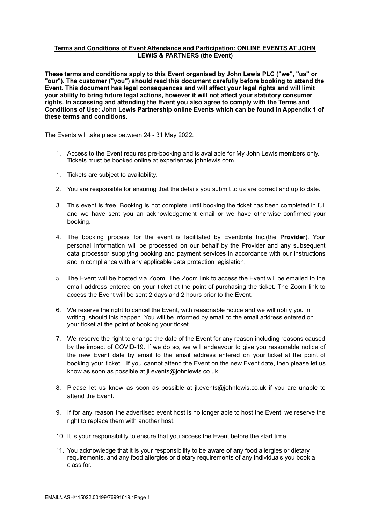# **Terms and Conditions of Event Attendance and Participation: ONLINE EVENTS AT JOHN LEWIS & PARTNERS (the Event)**

**These terms and conditions apply to this Event organised by John Lewis PLC ("we", "us" or "our"). The customer ("you") should read this document carefully before booking to attend the Event. This document has legal consequences and will affect your legal rights and will limit your ability to bring future legal actions, however it will not affect your statutory consumer rights. In accessing and attending the Event you also agree to comply with the Terms and Conditions of Use: John Lewis Partnership online Events which can be found in Appendix 1 of these terms and conditions.**

The Events will take place between 24 - 31 May 2022.

- 1. Access to the Event requires pre-booking and is available for My John Lewis members only. Tickets must be booked online at experiences.johnlewis.com
- 1. Tickets are subject to availability.
- 2. You are responsible for ensuring that the details you submit to us are correct and up to date.
- 3. This event is free. Booking is not complete until booking the ticket has been completed in full and we have sent you an acknowledgement email or we have otherwise confirmed your booking.
- 4. The booking process for the event is facilitated by Eventbrite Inc.(the **Provider**). Your personal information will be processed on our behalf by the Provider and any subsequent data processor supplying booking and payment services in accordance with our instructions and in compliance with any applicable data protection legislation.
- 5. The Event will be hosted via Zoom. The Zoom link to access the Event will be emailed to the email address entered on your ticket at the point of purchasing the ticket. The Zoom link to access the Event will be sent 2 days and 2 hours prior to the Event.
- 6. We reserve the right to cancel the Event, with reasonable notice and we will notify you in writing, should this happen. You will be informed by email to the email address entered on your ticket at the point of booking your ticket.
- 7. We reserve the right to change the date of the Event for any reason including reasons caused by the impact of COVID-19. If we do so, we will endeavour to give you reasonable notice of the new Event date by email to the email address entered on your ticket at the point of booking your ticket . If you cannot attend the Event on the new Event date, then please let us know as soon as possible at jl.events@johnlewis.co.uk.
- 8. Please let us know as soon as possible at jl.events@johnlewis.co.uk if you are unable to attend the Event.
- 9. If for any reason the advertised event host is no longer able to host the Event, we reserve the right to replace them with another host.
- 10. It is your responsibility to ensure that you access the Event before the start time.
- 11. You acknowledge that it is your responsibility to be aware of any food allergies or dietary requirements, and any food allergies or dietary requirements of any individuals you book a class for.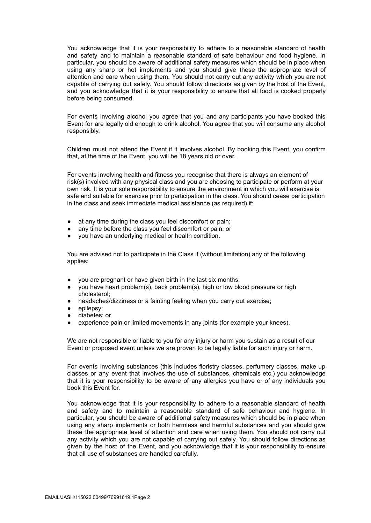You acknowledge that it is your responsibility to adhere to a reasonable standard of health and safety and to maintain a reasonable standard of safe behaviour and food hygiene. In particular, you should be aware of additional safety measures which should be in place when using any sharp or hot implements and you should give these the appropriate level of attention and care when using them. You should not carry out any activity which you are not capable of carrying out safely. You should follow directions as given by the host of the Event, and you acknowledge that it is your responsibility to ensure that all food is cooked properly before being consumed.

For events involving alcohol you agree that you and any participants you have booked this Event for are legally old enough to drink alcohol. You agree that you will consume any alcohol responsibly.

Children must not attend the Event if it involves alcohol. By booking this Event, you confirm that, at the time of the Event, you will be 18 years old or over.

For events involving health and fitness you recognise that there is always an element of risk(s) involved with any physical class and you are choosing to participate or perform at your own risk. It is your sole responsibility to ensure the environment in which you will exercise is safe and suitable for exercise prior to participation in the class. You should cease participation in the class and seek immediate medical assistance (as required) if:

- at any time during the class you feel discomfort or pain;
- any time before the class you feel discomfort or pain; or
- you have an underlying medical or health condition.

You are advised not to participate in the Class if (without limitation) any of the following applies:

- you are pregnant or have given birth in the last six months;
- you have heart problem(s), back problem(s), high or low blood pressure or high cholesterol;
- headaches/dizziness or a fainting feeling when you carry out exercise;
- epilepsy;
- diabetes; or
- experience pain or limited movements in any joints (for example your knees).

We are not responsible or liable to you for any injury or harm you sustain as a result of our Event or proposed event unless we are proven to be legally liable for such injury or harm.

For events involving substances (this includes floristry classes, perfumery classes, make up classes or any event that involves the use of substances, chemicals etc.) you acknowledge that it is your responsibility to be aware of any allergies you have or of any individuals you book this Event for.

You acknowledge that it is your responsibility to adhere to a reasonable standard of health and safety and to maintain a reasonable standard of safe behaviour and hygiene. In particular, you should be aware of additional safety measures which should be in place when using any sharp implements or both harmless and harmful substances and you should give these the appropriate level of attention and care when using them. You should not carry out any activity which you are not capable of carrying out safely. You should follow directions as given by the host of the Event, and you acknowledge that it is your responsibility to ensure that all use of substances are handled carefully.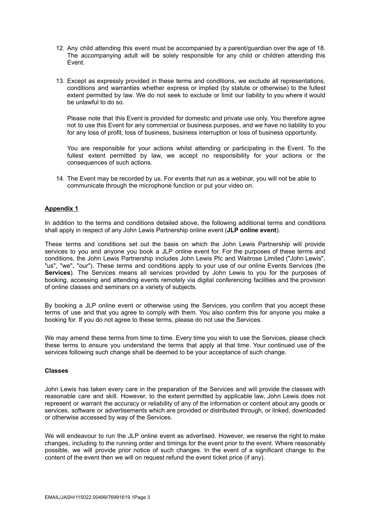- 12. Any child attending this event must be accompanied by a parent/guardian over the age of 18. The accompanying adult will be solely responsible for any child or children attending this Event.
- 13. Except as expressly provided in these terms and conditions, we exclude all representations, conditions and warranties whether express or implied (by statute or otherwise) to the fullest extent permitted by law. We do not seek to exclude or limit our liability to you where it would be unlawful to do so.

Please note that this Event is provided for domestic and private use only. You therefore agree not to use this Event for any commercial or business purposes, and we have no liability to you for any loss of profit, loss of business, business interruption or loss of business opportunity.

You are responsible for your actions whilst attending or participating in the Event. To the fullest extent permitted by law, we accept no responsibility for your actions or the consequences of such actions.

14. The Event may be recorded by us. For events that run as a webinar, you will not be able to communicate through the microphone function or put your video on.

## **Appendix 1**

In addition to the terms and conditions detailed above, the following additional terms and conditions shall apply in respect of any John Lewis Partnership online event (**JLP online event**).

These terms and conditions set out the basis on which the John Lewis Partnership will provide services to you and anyone you book a JLP online event for. For the purposes of these terms and conditions, the John Lewis Partnership includes John Lewis Plc and Waitrose Limited ("John Lewis", "us", "we", "our"). These terms and conditions apply to your use of our online Events Services (the **Services**). The Services means all services provided by John Lewis to you for the purposes of booking, accessing and attending events remotely via digital conferencing facilities and the provision of online classes and seminars on a variety of subjects.

By booking a JLP online event or otherwise using the Services, you confirm that you accept these terms of use and that you agree to comply with them. You also confirm this for anyone you make a booking for. If you do not agree to these terms, please do not use the Services.

We may amend these terms from time to time. Every time you wish to use the Services, please check these terms to ensure you understand the terms that apply at that time. Your continued use of the services following such change shall be deemed to be your acceptance of such change.

#### **Classes**

John Lewis has taken every care in the preparation of the Services and will provide the classes with reasonable care and skill. However, to the extent permitted by applicable law, John Lewis does not represent or warrant the accuracy or reliability of any of the information or content about any goods or services, software or advertisements which are provided or distributed through, or linked, downloaded or otherwise accessed by way of the Services.

We will endeavour to run the JLP online event as advertised. However, we reserve the right to make changes, including to the running order and timings for the event prior to the event. Where reasonably possible, we will provide prior notice of such changes. In the event of a significant change to the content of the event then we will on request refund the event ticket price (if any).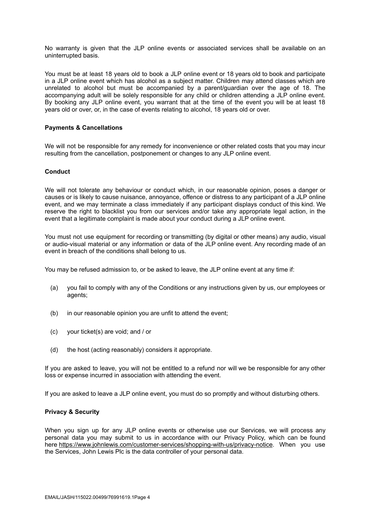No warranty is given that the JLP online events or associated services shall be available on an uninterrupted basis.

You must be at least 18 years old to book a JLP online event or 18 years old to book and participate in a JLP online event which has alcohol as a subject matter. Children may attend classes which are unrelated to alcohol but must be accompanied by a parent/guardian over the age of 18. The accompanying adult will be solely responsible for any child or children attending a JLP online event. By booking any JLP online event, you warrant that at the time of the event you will be at least 18 years old or over, or, in the case of events relating to alcohol, 18 years old or over.

## **Payments & Cancellations**

We will not be responsible for any remedy for inconvenience or other related costs that you may incur resulting from the cancellation, postponement or changes to any JLP online event.

#### **Conduct**

We will not tolerate any behaviour or conduct which, in our reasonable opinion, poses a danger or causes or is likely to cause nuisance, annoyance, offence or distress to any participant of a JLP online event, and we may terminate a class immediately if any participant displays conduct of this kind. We reserve the right to blacklist you from our services and/or take any appropriate legal action, in the event that a legitimate complaint is made about your conduct during a JLP online event.

You must not use equipment for recording or transmitting (by digital or other means) any audio, visual or audio-visual material or any information or data of the JLP online event. Any recording made of an event in breach of the conditions shall belong to us.

You may be refused admission to, or be asked to leave, the JLP online event at any time if:

- (a) you fail to comply with any of the Conditions or any instructions given by us, our employees or agents;
- (b) in our reasonable opinion you are unfit to attend the event;
- (c) your ticket(s) are void; and / or
- (d) the host (acting reasonably) considers it appropriate.

If you are asked to leave, you will not be entitled to a refund nor will we be responsible for any other loss or expense incurred in association with attending the event.

If you are asked to leave a JLP online event, you must do so promptly and without disturbing others.

#### **Privacy & Security**

When you sign up for any JLP online events or otherwise use our Services, we will process any personal data you may submit to us in accordance with our Privacy Policy, which can be found here <https://www.johnlewis.com/customer-services/shopping-with-us/privacy-notice>. When you use the Services, John Lewis Plc is the data controller of your personal data.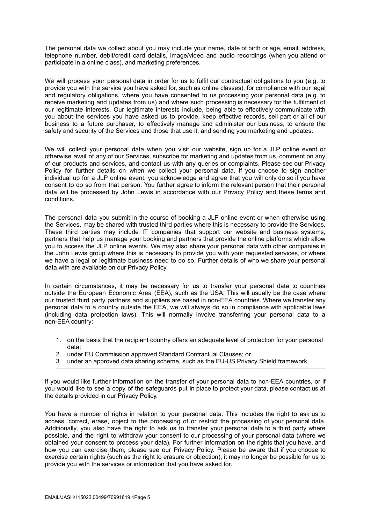The personal data we collect about you may include your name, date of birth or age, email, address, telephone number, debit/credit card details, image/video and audio recordings (when you attend or participate in a online class), and marketing preferences.

We will process your personal data in order for us to fulfil our contractual obligations to you (e.g. to provide you with the service you have asked for, such as online classes), for compliance with our legal and regulatory obligations, where you have consented to us processing your personal data (e.g. to receive marketing and updates from us) and where such processing is necessary for the fulfilment of our legitimate interests. Our legitimate interests include, being able to effectively communicate with you about the services you have asked us to provide, keep effective records, sell part or all of our business to a future purchaser, to effectively manage and administer our business, to ensure the safety and security of the Services and those that use it, and sending you marketing and updates.

We will collect your personal data when you visit our website, sign up for a JLP online event or otherwise avail of any of our Services, subscribe for marketing and updates from us, comment on any of our products and services, and contact us with any queries or complaints. Please see our Privacy Policy for further details on when we collect your personal data. If you choose to sign another individual up for a JLP online event, you acknowledge and agree that you will only do so if you have consent to do so from that person. You further agree to inform the relevant person that their personal data will be processed by John Lewis in accordance with our Privacy Policy and these terms and conditions.

The personal data you submit in the course of booking a JLP online event or when otherwise using the Services, may be shared with trusted third parties where this is necessary to provide the Services. These third parties may include IT companies that support our website and business systems, partners that help us manage your booking and partners that provide the online platforms which allow you to access the JLP online events. We may also share your personal data with other companies in the John Lewis group where this is necessary to provide you with your requested services, or where we have a legal or legitimate business need to do so. Further details of who we share your personal data with are available on our Privacy Policy.

In certain circumstances, it may be necessary for us to transfer your personal data to countries outside the European Economic Area (EEA), such as the USA. This will usually be the case where our trusted third party partners and suppliers are based in non-EEA countries. Where we transfer any personal data to a country outside the EEA, we will always do so in compliance with applicable laws (including data protection laws). This will normally involve transferring your personal data to a non-EEA country:

- 1. on the basis that the recipient country offers an adequate level of protection for your personal data;
- 2. under EU Commission approved Standard Contractual Clauses; or
- 3. under an approved data sharing scheme, such as the EU-US Privacy Shield framework.

If you would like further information on the transfer of your personal data to non-EEA countries, or if you would like to see a copy of the safeguards put in place to protect your data, please contact us at the details provided in our Privacy Policy.

You have a number of rights in relation to your personal data. This includes the right to ask us to access, correct, erase, object to the processing of or restrict the processing of your personal data. Additionally, you also have the right to ask us to transfer your personal data to a third party where possible, and the right to withdraw your consent to our processing of your personal data (where we obtained your consent to process your data). For further information on the rights that you have, and how you can exercise them, please see our Privacy Policy. Please be aware that if you choose to exercise certain rights (such as the right to erasure or objection), it may no longer be possible for us to provide you with the services or information that you have asked for.